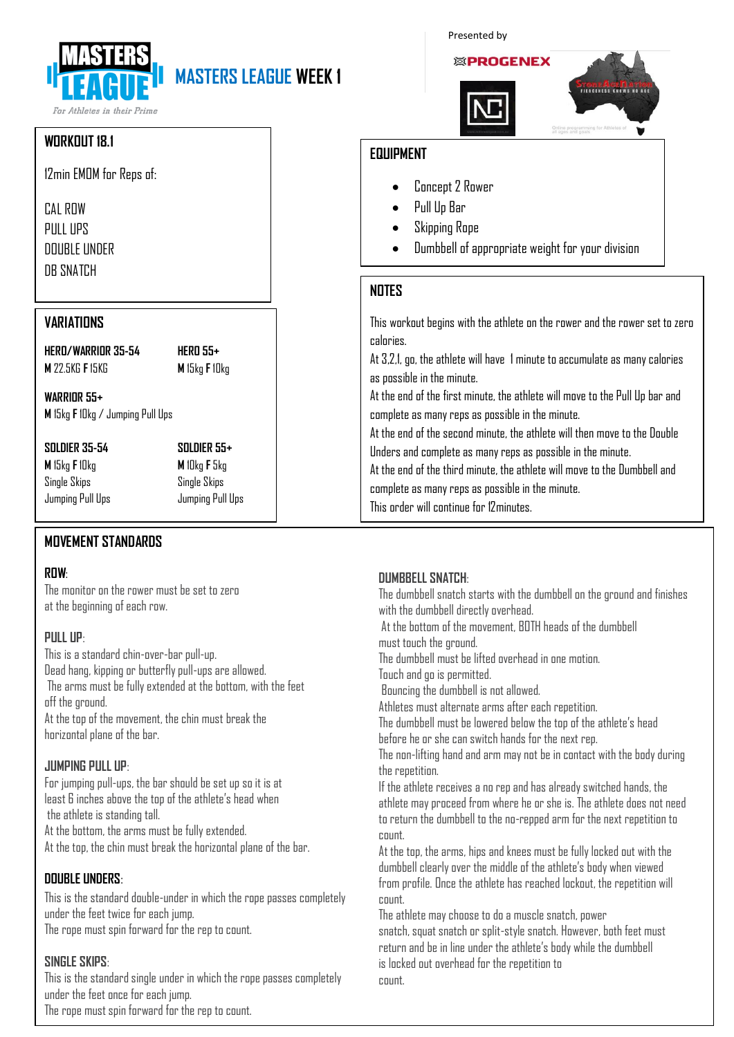# **MASTERS LEAGUE WEEK 1**

For Athletes in their Prime

#### **WORKOUT 18.1**

12min EMOM for Reps of:

CAL ROW PULL UPS DOUBLE UNDER DR SNATCH

#### **VARIATIONS**

**HERO/WARRIOR 35-54 HERO 55+ M** 22.5KG **F** 15KG **M** 15kg **F** 10kg

**WARRIOR 55+ M** 15kg **F**10kg / Jumping Pull Ups

**M** 15kg **F**10kg **M** 10kg **F** 5kg Single Skips Single Skips Jumping Pull Ups Jumping Pull Ups

**SOLDIER 35-54 SOLDIER 55+**

### **MOVEMENT STANDARDS**

#### **ROW**:

The monitor on the rower must be set to zero at the beginning of each row.

#### **PULL UP**:

This is a standard chin-over-bar pull-up. Dead hang, kipping or butterfly pull-ups are allowed. The arms must be fully extended at the bottom, with the feet off the ground. At the top of the movement, the chin must break the horizontal plane of the bar.

#### **JUMPING PULL UP**:

For jumping pull-ups, the bar should be set up so it is at least 6 inches above the top of the athlete's head when the athlete is standing tall. At the bottom, the arms must be fully extended. At the top, the chin must break the horizontal plane of the bar.

#### **DOUBLE UNDERS**:

This is the standard double-under in which the rope passes completely under the feet twice for each jump. The rope must spin forward for the rep to count.

#### **SINGLE SKIPS**:

This is the standard single under in which the rope passes completely under the feet once for each jump. The rope must spin forward for the rep to count.

#### Presented by



#### **EQUIPMENT**

- Concept 2 Rower
- Pull Up Bar
- Skipping Rope
- Dumbbell of appropriate weight for your division

#### **NOTES**

This workout begins with the athlete on the rower and the rower set to zero calories.

At 3.2.1, go, the athlete will have 1 minute to accumulate as many calories as possible in the minute.

At the end of the first minute, the athlete will move to the Pull Up bar and complete as many reps as possible in the minute.

At the end of the second minute, the athlete will then move to the Double Unders and complete as many reps as possible in the minute.

At the end of the third minute, the athlete will move to the Dumbbell and complete as many reps as possible in the minute.

This order will continue for 12minutes.

#### **DUMBBELL SNATCH**:

The dumbbell snatch starts with the dumbbell on the ground and finishes with the dumbbell directly overhead. At the bottom of the movement, BOTH heads of the dumbbell must touch the ground. The dumbbell must be lifted overhead in one motion. Touch and go is permitted.

Bouncing the dumbbell is not allowed.

Athletes must alternate arms after each repetition.

The dumbbell must be lowered below the top of the athlete's head before he or she can switch hands for the next rep.

The non-lifting hand and arm may not be in contact with the body during the repetition.

If the athlete receives a no rep and has already switched hands, the athlete may proceed from where he or she is. The athlete does not need to return the dumbbell to the no-repped arm for the next repetition to count.

At the top, the arms, hips and knees must be fully locked out with the dumbbell clearly over the middle of the athlete's body when viewed from profile. Once the athlete has reached lockout, the repetition will count.

The athlete may choose to do a muscle snatch, power snatch, squat snatch or split-style snatch. However, both feet must return and be in line under the athlete's body while the dumbbell is locked out overhead for the repetition to count.